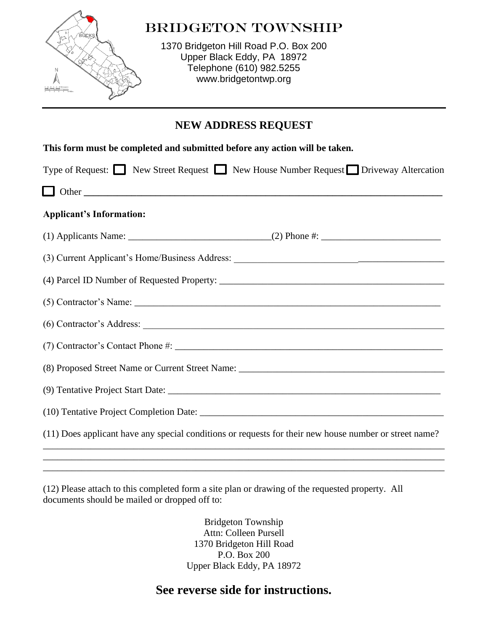

## BRIDGETON TOWNSHIP

1370 Bridgeton Hill Road P.O. Box 200 Upper Black Eddy, PA 18972 Telephone (610) 982.5255 [www.bridgetontwp.org](http://www.bridgetontwp.org/)

## **NEW ADDRESS REQUEST**

| This form must be completed and submitted before any action will be taken.                             |
|--------------------------------------------------------------------------------------------------------|
| Type of Request: New Street Request New House Number Request Driveway Altercation                      |
| $\Box$ Other                                                                                           |
| <b>Applicant's Information:</b>                                                                        |
|                                                                                                        |
|                                                                                                        |
|                                                                                                        |
|                                                                                                        |
|                                                                                                        |
|                                                                                                        |
|                                                                                                        |
|                                                                                                        |
|                                                                                                        |
| (11) Does applicant have any special conditions or requests for their new house number or street name? |

(12) Please attach to this completed form a site plan or drawing of the requested property. All documents should be mailed or dropped off to:

> Bridgeton Township Attn: Colleen Pursell 1370 Bridgeton Hill Road P.O. Box 200 Upper Black Eddy, PA 18972

\_\_\_\_\_\_\_\_\_\_\_\_\_\_\_\_\_\_\_\_\_\_\_\_\_\_\_\_\_\_\_\_\_\_\_\_\_\_\_\_\_\_\_\_\_\_\_\_\_\_\_\_\_\_\_\_\_\_\_\_\_\_\_\_\_\_\_\_\_\_\_\_\_\_\_\_\_\_\_\_\_\_\_\_ \_\_\_\_\_\_\_\_\_\_\_\_\_\_\_\_\_\_\_\_\_\_\_\_\_\_\_\_\_\_\_\_\_\_\_\_\_\_\_\_\_\_\_\_\_\_\_\_\_\_\_\_\_\_\_\_\_\_\_\_\_\_\_\_\_\_\_\_\_\_\_\_\_\_\_\_\_\_\_\_\_\_\_\_

# **See reverse side for instructions.**